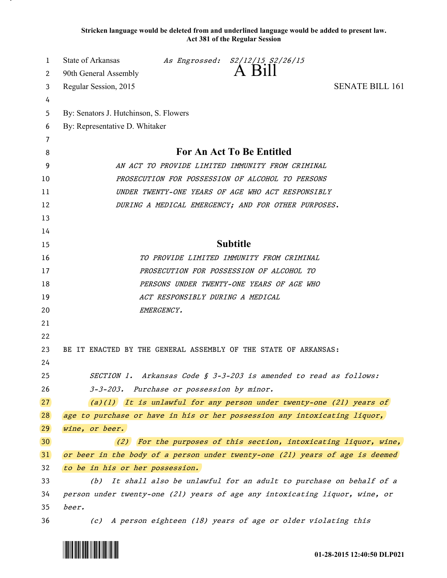**Stricken language would be deleted from and underlined language would be added to present law. Act 381 of the Regular Session**

| 1               | State of Arkansas<br>As Engrossed: S2/12/15 S2/26/15                         |  |
|-----------------|------------------------------------------------------------------------------|--|
| 2               | $A$ Bill<br>90th General Assembly                                            |  |
| 3               | <b>SENATE BILL 161</b><br>Regular Session, 2015                              |  |
| 4               |                                                                              |  |
| 5               | By: Senators J. Hutchinson, S. Flowers                                       |  |
| 6               | By: Representative D. Whitaker                                               |  |
| 7               |                                                                              |  |
| 8               | <b>For An Act To Be Entitled</b>                                             |  |
| 9               | AN ACT TO PROVIDE LIMITED IMMUNITY FROM CRIMINAL                             |  |
| 10              | PROSECUTION FOR POSSESSION OF ALCOHOL TO PERSONS                             |  |
| 11              | UNDER TWENTY-ONE YEARS OF AGE WHO ACT RESPONSIBLY                            |  |
| 12              | DURING A MEDICAL EMERGENCY; AND FOR OTHER PURPOSES.                          |  |
| 13              |                                                                              |  |
| 14              |                                                                              |  |
| 15              | <b>Subtitle</b>                                                              |  |
| 16              | TO PROVIDE LIMITED IMMUNITY FROM CRIMINAL                                    |  |
| 17              | PROSECUTION FOR POSSESSION OF ALCOHOL TO                                     |  |
| 18              | PERSONS UNDER TWENTY-ONE YEARS OF AGE WHO                                    |  |
| 19              | ACT RESPONSIBLY DURING A MEDICAL                                             |  |
| 20              | EMERGENCY.                                                                   |  |
| 21              |                                                                              |  |
| 22              |                                                                              |  |
| 23              | BE IT ENACTED BY THE GENERAL ASSEMBLY OF THE STATE OF ARKANSAS:              |  |
| 24              |                                                                              |  |
| 25              | SECTION 1. Arkansas Code § 3-3-203 is amended to read as follows:            |  |
| 26              | Purchase or possession by minor.<br>$3 - 3 - 203$ .                          |  |
| 27              | $(a)(1)$ It is unlawful for any person under twenty-one (21) years of        |  |
| 28              | age to purchase or have in his or her possession any intoxicating liquor,    |  |
| 29              | wine, or beer.                                                               |  |
| 30 <sup>°</sup> | $(2)$ For the purposes of this section, intoxicating liquor, wine,           |  |
| 31              | or beer in the body of a person under twenty-one (21) years of age is deemed |  |
| 32              | to be in his or her possession.                                              |  |
| 33              | (b) It shall also be unlawful for an adult to purchase on behalf of a        |  |
| 34              | person under twenty-one (21) years of age any intoxicating liquor, wine, or  |  |
| 35              | beer.                                                                        |  |
| 36              | (c) A person eighteen (18) years of age or older violating this              |  |



.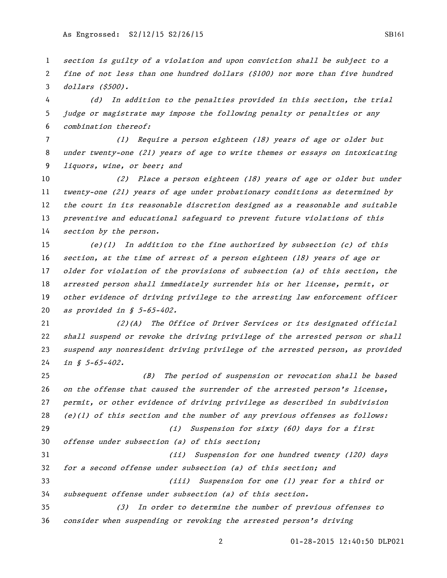section is guilty of a violation and upon conviction shall be subject to a fine of not less than one hundred dollars (\$100) nor more than five hundred dollars (\$500).

 (d) In addition to the penalties provided in this section, the trial judge or magistrate may impose the following penalty or penalties or any combination thereof:

 (1) Require a person eighteen (18) years of age or older but under twenty-one (21) years of age to write themes or essays on intoxicating liquors, wine, or beer; and

 (2) Place a person eighteen (18) years of age or older but under twenty-one (21) years of age under probationary conditions as determined by the court in its reasonable discretion designed as a reasonable and suitable 13 preventive and educational safeguard to prevent future violations of this 14 section by the person.

 (e)(1) In addition to the fine authorized by subsection (c) of this section, at the time of arrest of a person eighteen (18) years of age or older for violation of the provisions of subsection (a) of this section, the arrested person shall immediately surrender his or her license, permit, or other evidence of driving privilege to the arresting law enforcement officer as provided in § 5-65-402.

 (2)(A) The Office of Driver Services or its designated official shall suspend or revoke the driving privilege of the arrested person or shall suspend any nonresident driving privilege of the arrested person, as provided *in § 5-65-402*.

 (B) The period of suspension or revocation shall be based 26 on the offense that caused the surrender of the arrested person's license, permit, or other evidence of driving privilege as described in subdivision 28 (e)(1) of this section and the number of any previous offenses as follows: (i) Suspension for sixty (60) days for a first offense under subsection (a) of this section; (ii) Suspension for one hundred twenty (120) days for a second offense under subsection (a) of this section; and (iii) Suspension for one (1) year for a third or subsequent offense under subsection (a) of this section. (3) In order to determine the number of previous offenses to consider when suspending or revoking the arrested person's driving